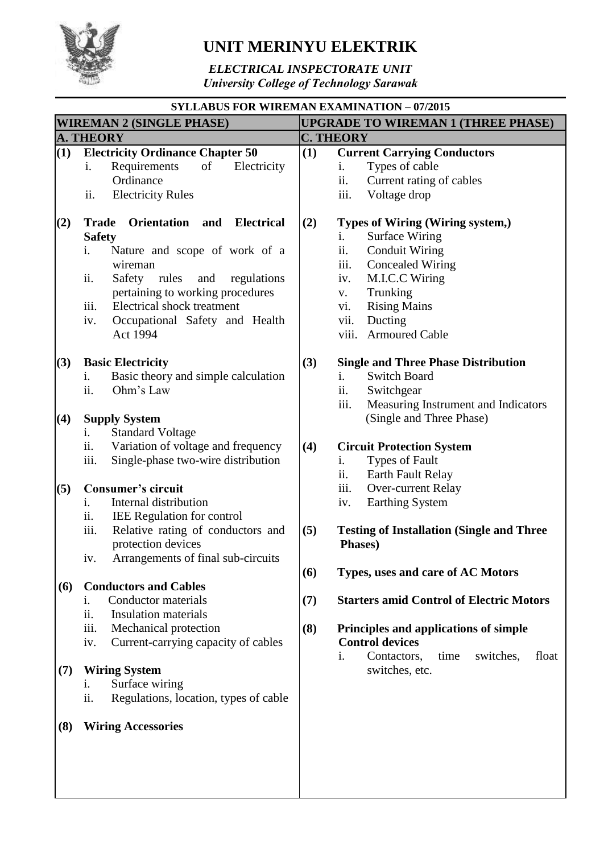

## **UNIT MERINYU ELEKTRIK**

*ELECTRICAL INSPECTORATE UNIT University College of Technology Sarawak*

## **SYLLABUS FOR WIREMAN EXAMINATION – 07/2015 WIREMAN 2 (SINGLE PHASE) UPGRADE TO WIREMAN 1 (THREE PHASE) A. THEORY C. THEORY (1) Electricity Ordinance Chapter 50** i. Requirements of Electricity **Ordinance** ii. Electricity Rules **(2) Trade Orientation and Electrical Safety** i. Nature and scope of work of a wireman ii. Safety rules and regulations pertaining to working procedures iii. Electrical shock treatment iv. Occupational Safety and Health Act 1994 **(3) Basic Electricity** i. Basic theory and simple calculation ii. Ohm's Law **(4) Supply System** i. Standard Voltage ii. Variation of voltage and frequency iii. Single-phase two-wire distribution **(5) Consumer's circuit** i. Internal distribution ii. IEE Regulation for control iii. Relative rating of conductors and protection devices iv. Arrangements of final sub-circuits **(6) Conductors and Cables** i. Conductor materials ii. Insulation materials iii. Mechanical protection iv. Current-carrying capacity of cables **(7) Wiring System** i. Surface wiring ii. Regulations, location, types of cable **(8) Wiring Accessories (1) Current Carrying Conductors** i. Types of cable ii. Current rating of cables iii. Voltage drop **(2) Types of Wiring (Wiring system,)** i. Surface Wiring ii. Conduit Wiring iii. Concealed Wiring iv. M.I.C.C Wiring v. Trunking vi. Rising Mains vii. Ducting viii. Armoured Cable **(3) Single and Three Phase Distribution** i. Switch Board ii. Switchgear iii. Measuring Instrument and Indicators (Single and Three Phase) **(4) Circuit Protection System** i. Types of Fault ii. Earth Fault Relay iii. Over-current Relay iv. Earthing System **(5) Testing of Installation (Single and Three Phases) (6) Types, uses and care of AC Motors (7) Starters amid Control of Electric Motors (8) Principles and applications of simple Control devices** i. Contactors, time switches, float switches, etc.